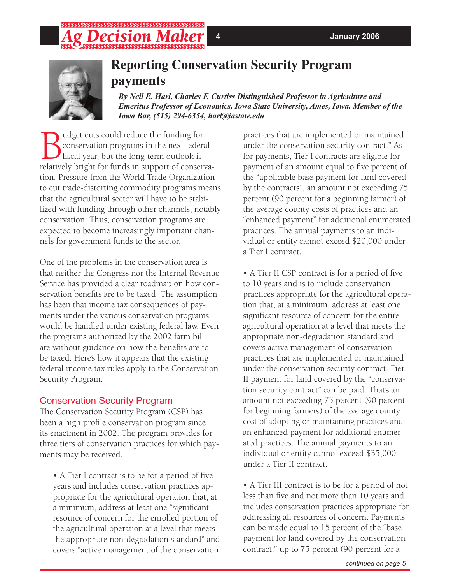## ;;;;;;;;;;;;;;;;;;;;;;;;;;;;;;;;;; \$\$\$\$\$\$\$\$\$\$\$\$\$\$\$\$\$\$\$\$\$\$\$\$\$\$\$\$\$\$\$\$\$\$\$\$



## **Reporting Conservation Security Program payments**

*By Neil E. Harl, Charles F. Curtiss Distinguished Professor in Agriculture and Emeritus Professor of Economics, Iowa State University, Ames, Iowa. Member of the Iowa Bar, (515) 294-6354, harl@iastate.edu*

Budget cuts could reduce the funding for<br>
fiscal year, but the long-term outlook is<br>
relatively bright for funds in support of conserved conservation programs in the next federal fiscal year, but the long-term outlook is relatively bright for funds in support of conservation. Pressure from the World Trade Organization to cut trade-distorting commodity programs means that the agricultural sector will have to be stabilized with funding through other channels, notably conservation. Thus, conservation programs are expected to become increasingly important channels for government funds to the sector.

One of the problems in the conservation area is that neither the Congress nor the Internal Revenue Service has provided a clear roadmap on how conservation benefits are to be taxed. The assumption has been that income tax consequences of payments under the various conservation programs would be handled under existing federal law. Even the programs authorized by the 2002 farm bill are without guidance on how the benefits are to be taxed. Here's how it appears that the existing federal income tax rules apply to the Conservation Security Program.

### Conservation Security Program

The Conservation Security Program (CSP) has been a high profile conservation program since its enactment in 2002. The program provides for three tiers of conservation practices for which payments may be received.

• A Tier I contract is to be for a period of five years and includes conservation practices appropriate for the agricultural operation that, at a minimum, address at least one "significant resource of concern for the enrolled portion of the agricultural operation at a level that meets the appropriate non-degradation standard" and covers "active management of the conservation

practices that are implemented or maintained under the conservation security contract." As for payments, Tier I contracts are eligible for payment of an amount equal to five percent of the "applicable base payment for land covered by the contracts", an amount not exceeding 75 percent (90 percent for a beginning farmer) of the average county costs of practices and an "enhanced payment" for additional enumerated practices. The annual payments to an individual or entity cannot exceed \$20,000 under a Tier I contract.

• A Tier II CSP contract is for a period of five to 10 years and is to include conservation practices appropriate for the agricultural operation that, at a minimum, address at least one significant resource of concern for the entire agricultural operation at a level that meets the appropriate non-degradation standard and covers active management of conservation practices that are implemented or maintained under the conservation security contract. Tier II payment for land covered by the "conservation security contract" can be paid. That's an amount not exceeding 75 percent (90 percent for beginning farmers) of the average county cost of adopting or maintaining practices and an enhanced payment for additional enumerated practices. The annual payments to an individual or entity cannot exceed \$35,000 under a Tier II contract.

• A Tier III contract is to be for a period of not less than five and not more than 10 years and includes conservation practices appropriate for addressing all resources of concern. Payments can be made equal to 15 percent of the "base payment for land covered by the conservation contract," up to 75 percent (90 percent for a